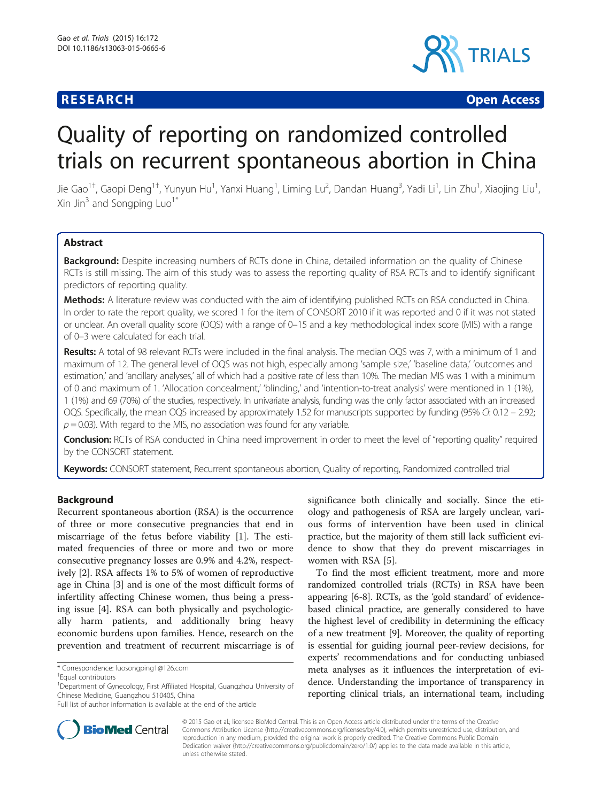# **RESEARCH CHEAR CHEAR CHEAR CHEAR CHEAR CHEAR CHEAR CHEAR CHEAR CHEAR CHEAR CHEAR CHEAR CHEAR CHEAR CHEAR CHEAR**



# Quality of reporting on randomized controlled trials on recurrent spontaneous abortion in China

Jie Gao<sup>1†</sup>, Gaopi Deng<sup>1†</sup>, Yunyun Hu<sup>1</sup>, Yanxi Huang<sup>1</sup>, Liming Lu<sup>2</sup>, Dandan Huang<sup>3</sup>, Yadi Li<sup>1</sup>, Lin Zhu<sup>1</sup>, Xiaojing Liu<sup>1</sup> , Xin Jin $3$  and Songping Luo<sup>1</sup><sup>\*</sup>

# **Abstract**

Background: Despite increasing numbers of RCTs done in China, detailed information on the quality of Chinese RCTs is still missing. The aim of this study was to assess the reporting quality of RSA RCTs and to identify significant predictors of reporting quality.

Methods: A literature review was conducted with the aim of identifying published RCTs on RSA conducted in China. In order to rate the report quality, we scored 1 for the item of CONSORT 2010 if it was reported and 0 if it was not stated or unclear. An overall quality score (OQS) with a range of 0–15 and a key methodological index score (MIS) with a range of 0–3 were calculated for each trial.

Results: A total of 98 relevant RCTs were included in the final analysis. The median OQS was 7, with a minimum of 1 and maximum of 12. The general level of OQS was not high, especially among 'sample size,' 'baseline data,' 'outcomes and estimation,' and 'ancillary analyses,' all of which had a positive rate of less than 10%. The median MIS was 1 with a minimum of 0 and maximum of 1. 'Allocation concealment,' 'blinding,' and 'intention-to-treat analysis' were mentioned in 1 (1%), 1 (1%) and 69 (70%) of the studies, respectively. In univariate analysis, funding was the only factor associated with an increased OQS. Specifically, the mean OQS increased by approximately 1.52 for manuscripts supported by funding (95% CI: 0.12 – 2.92;  $p = 0.03$ ). With regard to the MIS, no association was found for any variable.

**Conclusion:** RCTs of RSA conducted in China need improvement in order to meet the level of "reporting quality" required by the CONSORT statement.

Keywords: CONSORT statement, Recurrent spontaneous abortion, Quality of reporting, Randomized controlled trial

## Background

Recurrent spontaneous abortion (RSA) is the occurrence of three or more consecutive pregnancies that end in miscarriage of the fetus before viability [\[1](#page-5-0)]. The estimated frequencies of three or more and two or more consecutive pregnancy losses are 0.9% and 4.2%, respectively [\[2](#page-5-0)]. RSA affects 1% to 5% of women of reproductive age in China [[3\]](#page-5-0) and is one of the most difficult forms of infertility affecting Chinese women, thus being a pressing issue [\[4](#page-5-0)]. RSA can both physically and psychologically harm patients, and additionally bring heavy economic burdens upon families. Hence, research on the prevention and treatment of recurrent miscarriage is of



To find the most efficient treatment, more and more randomized controlled trials (RCTs) in RSA have been appearing [\[6](#page-5-0)-[8\]](#page-5-0). RCTs, as the 'gold standard' of evidencebased clinical practice, are generally considered to have the highest level of credibility in determining the efficacy of a new treatment [[9\]](#page-5-0). Moreover, the quality of reporting is essential for guiding journal peer-review decisions, for experts' recommendations and for conducting unbiased meta analyses as it influences the interpretation of evidence. Understanding the importance of transparency in reporting clinical trials, an international team, including



© 2015 Gao et al.; licensee BioMed Central. This is an Open Access article distributed under the terms of the Creative Commons Attribution License [\(http://creativecommons.org/licenses/by/4.0\)](http://creativecommons.org/licenses/by/4.0), which permits unrestricted use, distribution, and reproduction in any medium, provided the original work is properly credited. The Creative Commons Public Domain Dedication waiver [\(http://creativecommons.org/publicdomain/zero/1.0/](http://creativecommons.org/publicdomain/zero/1.0/)) applies to the data made available in this article, unless otherwise stated.

<sup>\*</sup> Correspondence: [luosongping1@126.com](mailto:luosongping1@126.com) †

Equal contributors

<sup>&</sup>lt;sup>1</sup>Department of Gynecology, First Affiliated Hospital, Guangzhou University of Chinese Medicine, Guangzhou 510405, China

Full list of author information is available at the end of the article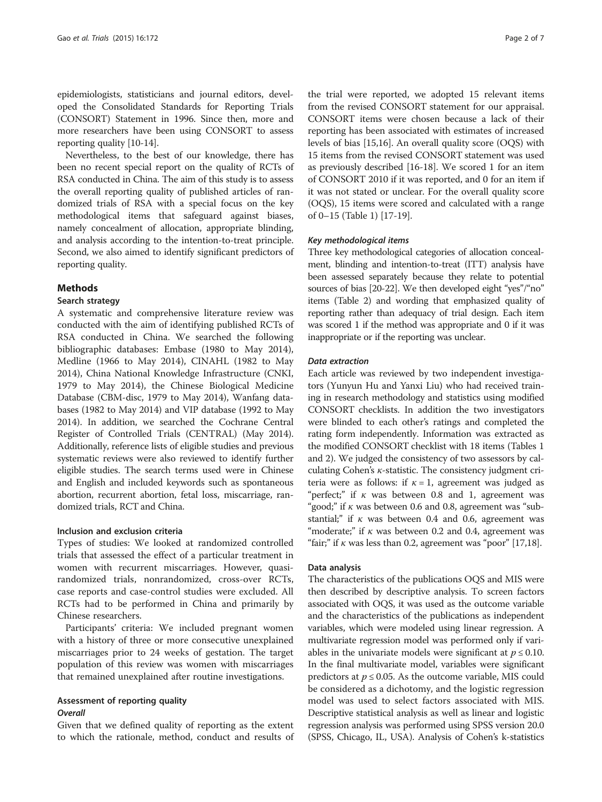epidemiologists, statisticians and journal editors, developed the Consolidated Standards for Reporting Trials (CONSORT) Statement in 1996. Since then, more and more researchers have been using CONSORT to assess reporting quality [\[10-14\]](#page-5-0).

Nevertheless, to the best of our knowledge, there has been no recent special report on the quality of RCTs of RSA conducted in China. The aim of this study is to assess the overall reporting quality of published articles of randomized trials of RSA with a special focus on the key methodological items that safeguard against biases, namely concealment of allocation, appropriate blinding, and analysis according to the intention-to-treat principle. Second, we also aimed to identify significant predictors of reporting quality.

#### Methods

#### Search strategy

A systematic and comprehensive literature review was conducted with the aim of identifying published RCTs of RSA conducted in China. We searched the following bibliographic databases: Embase (1980 to May 2014), Medline (1966 to May 2014), CINAHL (1982 to May 2014), China National Knowledge Infrastructure (CNKI, 1979 to May 2014), the Chinese Biological Medicine Database (CBM-disc, 1979 to May 2014), Wanfang databases (1982 to May 2014) and VIP database (1992 to May 2014). In addition, we searched the Cochrane Central Register of Controlled Trials (CENTRAL) (May 2014). Additionally, reference lists of eligible studies and previous systematic reviews were also reviewed to identify further eligible studies. The search terms used were in Chinese and English and included keywords such as spontaneous abortion, recurrent abortion, fetal loss, miscarriage, randomized trials, RCT and China.

#### Inclusion and exclusion criteria

Types of studies: We looked at randomized controlled trials that assessed the effect of a particular treatment in women with recurrent miscarriages. However, quasirandomized trials, nonrandomized, cross-over RCTs, case reports and case-control studies were excluded. All RCTs had to be performed in China and primarily by Chinese researchers.

Participants' criteria: We included pregnant women with a history of three or more consecutive unexplained miscarriages prior to 24 weeks of gestation. The target population of this review was women with miscarriages that remained unexplained after routine investigations.

#### Assessment of reporting quality **Overall**

Given that we defined quality of reporting as the extent to which the rationale, method, conduct and results of

the trial were reported, we adopted 15 relevant items from the revised CONSORT statement for our appraisal. CONSORT items were chosen because a lack of their reporting has been associated with estimates of increased levels of bias [[15,16](#page-5-0)]. An overall quality score (OQS) with 15 items from the revised CONSORT statement was used as previously described [[16](#page-5-0)-[18](#page-5-0)]. We scored 1 for an item of CONSORT 2010 if it was reported, and 0 for an item if it was not stated or unclear. For the overall quality score (OQS), 15 items were scored and calculated with a range of 0–15 (Table [1\)](#page-2-0) [[17-19\]](#page-5-0).

#### Key methodological items

Three key methodological categories of allocation concealment, blinding and intention-to-treat (ITT) analysis have been assessed separately because they relate to potential sources of bias [\[20-22\]](#page-5-0). We then developed eight "yes"/"no" items (Table [2](#page-2-0)) and wording that emphasized quality of reporting rather than adequacy of trial design. Each item was scored 1 if the method was appropriate and 0 if it was inappropriate or if the reporting was unclear.

#### Data extraction

Each article was reviewed by two independent investigators (Yunyun Hu and Yanxi Liu) who had received training in research methodology and statistics using modified CONSORT checklists. In addition the two investigators were blinded to each other's ratings and completed the rating form independently. Information was extracted as the modified CONSORT checklist with 18 items (Tables [1](#page-2-0) and [2](#page-2-0)). We judged the consistency of two assessors by calculating Cohen's  $\kappa$ -statistic. The consistency judgment criteria were as follows: if  $\kappa = 1$ , agreement was judged as "perfect;" if  $\kappa$  was between 0.8 and 1, agreement was "good;" if  $\kappa$  was between 0.6 and 0.8, agreement was "substantial;" if  $\kappa$  was between 0.4 and 0.6, agreement was "moderate;" if  $\kappa$  was between 0.2 and 0.4, agreement was "fair;" if  $\kappa$  was less than 0.2, agreement was "poor" [[17,18](#page-5-0)].

#### Data analysis

The characteristics of the publications OQS and MIS were then described by descriptive analysis. To screen factors associated with OQS, it was used as the outcome variable and the characteristics of the publications as independent variables, which were modeled using linear regression. A multivariate regression model was performed only if variables in the univariate models were significant at  $p \leq 0.10$ . In the final multivariate model, variables were significant predictors at  $p \le 0.05$ . As the outcome variable, MIS could be considered as a dichotomy, and the logistic regression model was used to select factors associated with MIS. Descriptive statistical analysis as well as linear and logistic regression analysis was performed using SPSS version 20.0 (SPSS, Chicago, IL, USA). Analysis of Cohen's k-statistics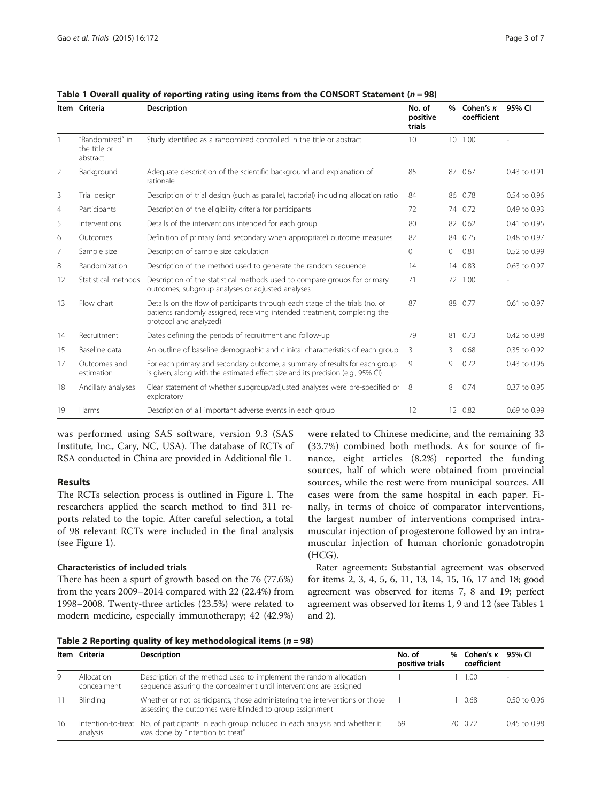|                | Item Criteria                               | <b>Description</b>                                                                                                                                                                 | No. of<br>positive<br>trials | $\%$    | Cohen's $\kappa$<br>coefficient | 95% CI       |
|----------------|---------------------------------------------|------------------------------------------------------------------------------------------------------------------------------------------------------------------------------------|------------------------------|---------|---------------------------------|--------------|
|                | "Randomized" in<br>the title or<br>abstract | Study identified as a randomized controlled in the title or abstract                                                                                                               | 10                           |         | 10 1.00                         |              |
| 2              | Background                                  | Adequate description of the scientific background and explanation of<br>rationale                                                                                                  | 85                           | 87      | 0.67                            | 0.43 to 0.91 |
| 3              | Trial design                                | Description of trial design (such as parallel, factorial) including allocation ratio                                                                                               | 84                           |         | 86 0.78                         | 0.54 to 0.96 |
| $\overline{4}$ | Participants                                | Description of the eligibility criteria for participants                                                                                                                           | 72                           |         | 74 0.72                         | 0.49 to 0.93 |
| 5              | Interventions                               | Details of the interventions intended for each group                                                                                                                               | 80                           | 82      | 0.62                            | 0.41 to 0.95 |
| 6              | Outcomes                                    | Definition of primary (and secondary when appropriate) outcome measures                                                                                                            | 82                           |         | 84 0.75                         | 0.48 to 0.97 |
| 7              | Sample size                                 | Description of sample size calculation                                                                                                                                             | $\circ$                      | $\circ$ | 0.81                            | 0.52 to 0.99 |
| 8              | Randomization                               | Description of the method used to generate the random sequence                                                                                                                     | 14                           | 14      | 0.83                            | 0.63 to 0.97 |
| 12             | Statistical methods                         | Description of the statistical methods used to compare groups for primary<br>outcomes, subgroup analyses or adjusted analyses                                                      | 71                           | 72      | 1.00                            |              |
| 13             | Flow chart                                  | Details on the flow of participants through each stage of the trials (no. of<br>patients randomly assigned, receiving intended treatment, completing the<br>protocol and analyzed) | 87                           |         | 88 0.77                         | 0.61 to 0.97 |
| 14             | Recruitment                                 | Dates defining the periods of recruitment and follow-up                                                                                                                            | 79                           | 81      | 0.73                            | 0.42 to 0.98 |
| 15             | Baseline data                               | An outline of baseline demographic and clinical characteristics of each group                                                                                                      | 3                            | 3       | 0.68                            | 0.35 to 0.92 |
| 17             | Outcomes and<br>estimation                  | For each primary and secondary outcome, a summary of results for each group<br>is given, along with the estimated effect size and its precision (e.g., 95% CI)                     | 9                            | 9       | 0.72                            | 0.43 to 0.96 |
| 18             | Ancillary analyses                          | Clear statement of whether subgroup/adjusted analyses were pre-specified or<br>exploratory                                                                                         | 8                            | 8       | 0.74                            | 0.37 to 0.95 |
| 19             | Harms                                       | Description of all important adverse events in each group                                                                                                                          | 12                           |         | 12 0.82                         | 0.69 to 0.99 |

<span id="page-2-0"></span>Table 1 Overall quality of reporting rating using items from the CONSORT Statement ( $n = 98$ )

was performed using SAS software, version 9.3 (SAS Institute, Inc., Cary, NC, USA). The database of RCTs of RSA conducted in China are provided in Additional file [1](#page-5-0).

#### Results

The RCTs selection process is outlined in Figure [1.](#page-3-0) The researchers applied the search method to find 311 reports related to the topic. After careful selection, a total of 98 relevant RCTs were included in the final analysis (see Figure [1\)](#page-3-0).

## Characteristics of included trials

There has been a spurt of growth based on the 76 (77.6%) from the years 2009–2014 compared with 22 (22.4%) from 1998–2008. Twenty-three articles (23.5%) were related to modern medicine, especially immunotherapy; 42 (42.9%) were related to Chinese medicine, and the remaining 33 (33.7%) combined both methods. As for source of finance, eight articles (8.2%) reported the funding sources, half of which were obtained from provincial sources, while the rest were from municipal sources. All cases were from the same hospital in each paper. Finally, in terms of choice of comparator interventions, the largest number of interventions comprised intramuscular injection of progesterone followed by an intramuscular injection of human chorionic gonadotropin (HCG).

Rater agreement: Substantial agreement was observed for items 2, 3, 4, 5, 6, 11, 13, 14, 15, 16, 17 and 18; good agreement was observed for items 7, 8 and 19; perfect agreement was observed for items 1, 9 and 12 (see Tables 1 and 2).

|  |  |  |  |  | Table 2 Reporting quality of key methodological items ( $n = 98$ ) |  |
|--|--|--|--|--|--------------------------------------------------------------------|--|
|--|--|--|--|--|--------------------------------------------------------------------|--|

|    | Item Criteria             | <b>Description</b>                                                                                                                      | No. of<br>positive trials | $\%$ | Cohen's <i>K</i><br>coefficient | 95% CI           |
|----|---------------------------|-----------------------------------------------------------------------------------------------------------------------------------------|---------------------------|------|---------------------------------|------------------|
| 9  | Allocation<br>concealment | Description of the method used to implement the random allocation<br>sequence assuring the concealment until interventions are assigned |                           |      | 1.00                            |                  |
|    | Blinding                  | Whether or not participants, those administering the interventions or those<br>assessing the outcomes were blinded to group assignment  |                           |      | 0.68                            | $0.50$ to $0.96$ |
| 16 | analysis                  | Intention-to-treat No. of participants in each group included in each analysis and whether it<br>was done by "intention to treat"       | 69                        |      | 70 0.72                         | $0.45$ to $0.98$ |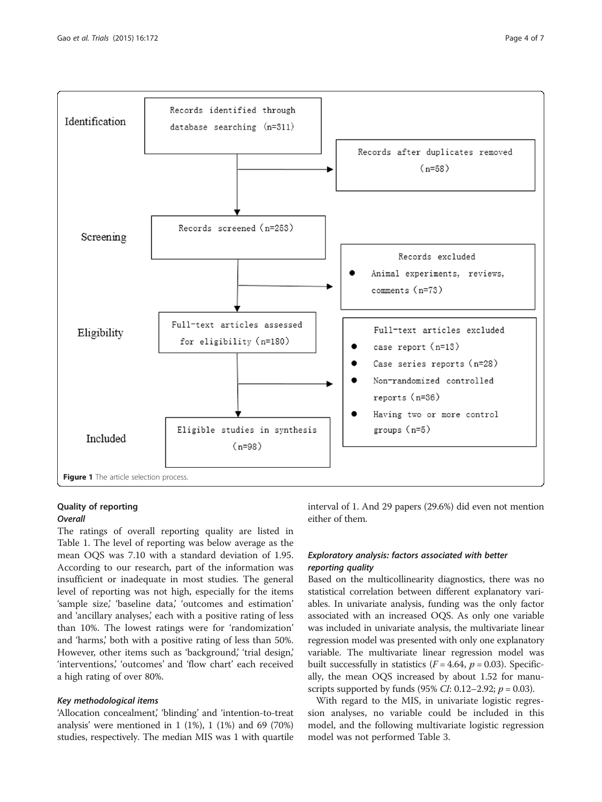<span id="page-3-0"></span>

# Quality of reporting

# **Overall**

The ratings of overall reporting quality are listed in Table [1](#page-2-0). The level of reporting was below average as the mean OQS was 7.10 with a standard deviation of 1.95. According to our research, part of the information was insufficient or inadequate in most studies. The general level of reporting was not high, especially for the items 'sample size,' 'baseline data,' 'outcomes and estimation' and 'ancillary analyses,' each with a positive rating of less than 10%. The lowest ratings were for 'randomization' and 'harms,' both with a positive rating of less than 50%. However, other items such as 'background,' 'trial design,' 'interventions,' 'outcomes' and 'flow chart' each received a high rating of over 80%.

#### Key methodological items

'Allocation concealment,' 'blinding' and 'intention-to-treat analysis' were mentioned in 1 (1%), 1 (1%) and 69 (70%) studies, respectively. The median MIS was 1 with quartile interval of 1. And 29 papers (29.6%) did even not mention either of them.

# Exploratory analysis: factors associated with better reporting quality

Based on the multicollinearity diagnostics, there was no statistical correlation between different explanatory variables. In univariate analysis, funding was the only factor associated with an increased OQS. As only one variable was included in univariate analysis, the multivariate linear regression model was presented with only one explanatory variable. The multivariate linear regression model was built successfully in statistics ( $F = 4.64$ ,  $p = 0.03$ ). Specifically, the mean OQS increased by about 1.52 for manuscripts supported by funds (95% *CI*: 0.12–2.92;  $p = 0.03$ ).

With regard to the MIS, in univariate logistic regression analyses, no variable could be included in this model, and the following multivariate logistic regression model was not performed Table [3](#page-4-0).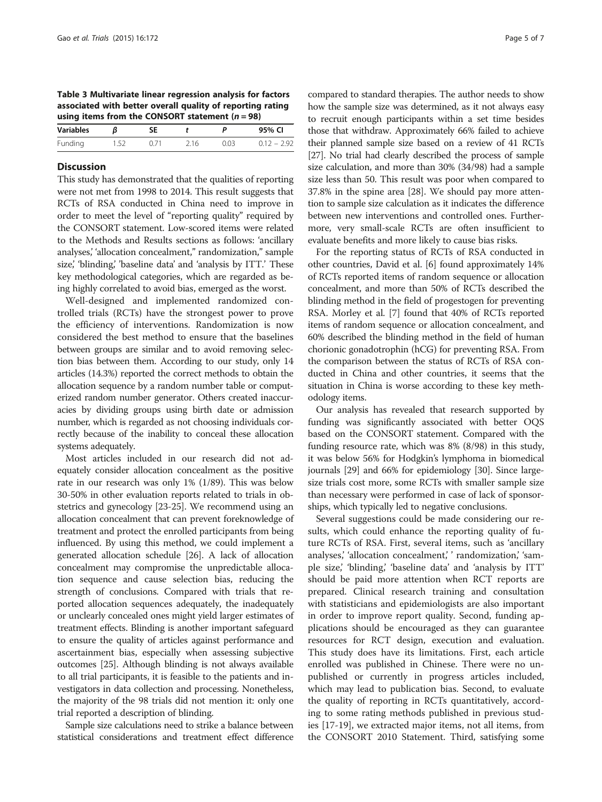<span id="page-4-0"></span>Table 3 Multivariate linear regression analysis for factors associated with better overall quality of reporting rating using items from the CONSORT statement ( $n = 98$ )

| Variables |       |      |      | 95% CI        |
|-----------|-------|------|------|---------------|
| Funding   | (171) | 2.16 | 0.03 | $0.12 - 2.92$ |
|           |       |      |      |               |

#### **Discussion**

This study has demonstrated that the qualities of reporting were not met from 1998 to 2014. This result suggests that RCTs of RSA conducted in China need to improve in order to meet the level of "reporting quality" required by the CONSORT statement. Low-scored items were related to the Methods and Results sections as follows: 'ancillary analyses,' 'allocation concealment," randomization," sample size,' 'blinding,' 'baseline data' and 'analysis by ITT.' These key methodological categories, which are regarded as being highly correlated to avoid bias, emerged as the worst.

Well-designed and implemented randomized controlled trials (RCTs) have the strongest power to prove the efficiency of interventions. Randomization is now considered the best method to ensure that the baselines between groups are similar and to avoid removing selection bias between them. According to our study, only 14 articles (14.3%) reported the correct methods to obtain the allocation sequence by a random number table or computerized random number generator. Others created inaccuracies by dividing groups using birth date or admission number, which is regarded as not choosing individuals correctly because of the inability to conceal these allocation systems adequately.

Most articles included in our research did not adequately consider allocation concealment as the positive rate in our research was only 1% (1/89). This was below 30-50% in other evaluation reports related to trials in obstetrics and gynecology [[23](#page-5-0)-[25](#page-5-0)]. We recommend using an allocation concealment that can prevent foreknowledge of treatment and protect the enrolled participants from being influenced. By using this method, we could implement a generated allocation schedule [[26](#page-5-0)]. A lack of allocation concealment may compromise the unpredictable allocation sequence and cause selection bias, reducing the strength of conclusions. Compared with trials that reported allocation sequences adequately, the inadequately or unclearly concealed ones might yield larger estimates of treatment effects. Blinding is another important safeguard to ensure the quality of articles against performance and ascertainment bias, especially when assessing subjective outcomes [\[25](#page-5-0)]. Although blinding is not always available to all trial participants, it is feasible to the patients and investigators in data collection and processing. Nonetheless, the majority of the 98 trials did not mention it: only one trial reported a description of blinding.

Sample size calculations need to strike a balance between statistical considerations and treatment effect difference

compared to standard therapies. The author needs to show how the sample size was determined, as it not always easy to recruit enough participants within a set time besides those that withdraw. Approximately 66% failed to achieve their planned sample size based on a review of 41 RCTs [[27](#page-5-0)]. No trial had clearly described the process of sample size calculation, and more than 30% (34/98) had a sample size less than 50. This result was poor when compared to

37.8% in the spine area [[28](#page-6-0)]. We should pay more attention to sample size calculation as it indicates the difference between new interventions and controlled ones. Furthermore, very small-scale RCTs are often insufficient to evaluate benefits and more likely to cause bias risks.

For the reporting status of RCTs of RSA conducted in other countries, David et al. [\[6\]](#page-5-0) found approximately 14% of RCTs reported items of random sequence or allocation concealment, and more than 50% of RCTs described the blinding method in the field of progestogen for preventing RSA. Morley et al. [\[7\]](#page-5-0) found that 40% of RCTs reported items of random sequence or allocation concealment, and 60% described the blinding method in the field of human chorionic gonadotrophin (hCG) for preventing RSA. From the comparison between the status of RCTs of RSA conducted in China and other countries, it seems that the situation in China is worse according to these key methodology items.

Our analysis has revealed that research supported by funding was significantly associated with better OQS based on the CONSORT statement. Compared with the funding resource rate, which was 8% (8/98) in this study, it was below 56% for Hodgkin's lymphoma in biomedical journals [\[29\]](#page-6-0) and 66% for epidemiology [[30](#page-6-0)]. Since largesize trials cost more, some RCTs with smaller sample size than necessary were performed in case of lack of sponsorships, which typically led to negative conclusions.

Several suggestions could be made considering our results, which could enhance the reporting quality of future RCTs of RSA. First, several items, such as 'ancillary analyses,' 'allocation concealment,' ' randomization,' 'sample size,' 'blinding,' 'baseline data' and 'analysis by ITT' should be paid more attention when RCT reports are prepared. Clinical research training and consultation with statisticians and epidemiologists are also important in order to improve report quality. Second, funding applications should be encouraged as they can guarantee resources for RCT design, execution and evaluation. This study does have its limitations. First, each article enrolled was published in Chinese. There were no unpublished or currently in progress articles included, which may lead to publication bias. Second, to evaluate the quality of reporting in RCTs quantitatively, according to some rating methods published in previous studies [[17](#page-5-0)-[19\]](#page-5-0), we extracted major items, not all items, from the CONSORT 2010 Statement. Third, satisfying some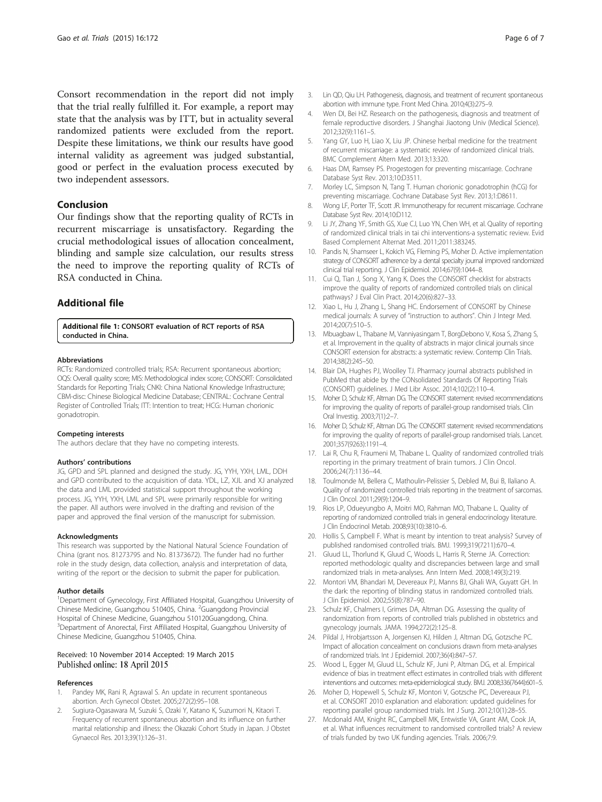<span id="page-5-0"></span>Consort recommendation in the report did not imply that the trial really fulfilled it. For example, a report may state that the analysis was by ITT, but in actuality several randomized patients were excluded from the report. Despite these limitations, we think our results have good internal validity as agreement was judged substantial, good or perfect in the evaluation process executed by two independent assessors.

## Conclusion

Our findings show that the reporting quality of RCTs in recurrent miscarriage is unsatisfactory. Regarding the crucial methodological issues of allocation concealment, blinding and sample size calculation, our results stress the need to improve the reporting quality of RCTs of RSA conducted in China.

## Additional file

[Additional file 1:](http://www.trialsjournal.com/content/supplementary/s13063-015-0665-6-s1.doc) CONSORT evaluation of RCT reports of RSA conducted in China.

#### Abbreviations

RCTs: Randomized controlled trials; RSA: Recurrent spontaneous abortion; OQS: Overall quality score; MIS: Methodological index score; CONSORT: Consolidated Standards for Reporting Trials; CNKI: China National Knowledge Infrastructure; CBM-disc: Chinese Biological Medicine Database; CENTRAL: Cochrane Central Register of Controlled Trials; ITT: Intention to treat; HCG: Human chorionic gonadotropin.

#### Competing interests

The authors declare that they have no competing interests.

#### Authors' contributions

JG, GPD and SPL planned and designed the study. JG, YYH, YXH, LML, DDH and GPD contributed to the acquisition of data. YDL, LZ, XJL and XJ analyzed the data and LML provided statistical support throughout the working process. JG, YYH, YXH, LML and SPL were primarily responsible for writing the paper. All authors were involved in the drafting and revision of the paper and approved the final version of the manuscript for submission.

#### Acknowledgments

This research was supported by the National Natural Science Foundation of China (grant nos. 81273795 and No. 81373672). The funder had no further role in the study design, data collection, analysis and interpretation of data, writing of the report or the decision to submit the paper for publication.

#### Author details

<sup>1</sup>Department of Gynecology, First Affiliated Hospital, Guangzhou University of Chinese Medicine, Guangzhou 510405, China. <sup>2</sup>Guangdong Provincial Hospital of Chinese Medicine, Guangzhou 510120Guangdong, China. <sup>3</sup>Department of Anorectal, First Affiliated Hospital, Guangzhou University of Chinese Medicine, Guangzhou 510405, China.

#### Received: 10 November 2014 Accepted: 19 March 2015 Published online: 18 April 2015

#### References

- Pandey MK, Rani R, Agrawal S. An update in recurrent spontaneous abortion. Arch Gynecol Obstet. 2005;272(2):95–108.
- 2. Sugiura-Ogasawara M, Suzuki S, Ozaki Y, Katano K, Suzumori N, Kitaori T. Frequency of recurrent spontaneous abortion and its influence on further marital relationship and illness: the Okazaki Cohort Study in Japan. J Obstet Gynaecol Res. 2013;39(1):126–31.
- 3. Lin QD, Qiu LH. Pathogenesis, diagnosis, and treatment of recurrent spontaneous abortion with immune type. Front Med China. 2010;4(3):275–9.
- 4. Wen DI, Bei HZ. Research on the pathogenesis, diagnosis and treatment of female reproductive disorders. J Shanghai Jiaotong Univ (Medical Science). 2012;32(9):1161–5.
- 5. Yang GY, Luo H, Liao X, Liu JP. Chinese herbal medicine for the treatment of recurrent miscarriage: a systematic review of randomized clinical trials. BMC Complement Altern Med. 2013;13:320.
- 6. Haas DM, Ramsey PS. Progestogen for preventing miscarriage. Cochrane Database Syst Rev. 2013;10:D3511.
- 7. Morley LC, Simpson N, Tang T. Human chorionic gonadotrophin (hCG) for preventing miscarriage. Cochrane Database Syst Rev. 2013;1:D8611.
- 8. Wong LF, Porter TF, Scott JR. Immunotherapy for recurrent miscarriage. Cochrane Database Syst Rev. 2014;10:D112.
- 9. Li JY, Zhang YF, Smith GS, Xue CJ, Luo YN, Chen WH, et al. Quality of reporting of randomized clinical trials in tai chi interventions-a systematic review. Evid Based Complement Alternat Med. 2011;2011:383245.
- 10. Pandis N, Shamseer L, Kokich VG, Fleming PS, Moher D. Active implementation strategy of CONSORT adherence by a dental specialty journal improved randomized clinical trial reporting. J Clin Epidemiol. 2014;67(9):1044–8.
- 11. Cui Q, Tian J, Song X, Yang K. Does the CONSORT checklist for abstracts improve the quality of reports of randomized controlled trials on clinical pathways? J Eval Clin Pract. 2014;20(6):827–33.
- 12. Xiao L, Hu J, Zhang L, Shang HC. Endorsement of CONSORT by Chinese medical journals: A survey of "instruction to authors". Chin J Integr Med. 2014;20(7):510–5.
- 13. Mbuagbaw L, Thabane M, Vanniyasingam T, BorgDebono V, Kosa S, Zhang S, et al. Improvement in the quality of abstracts in major clinical journals since CONSORT extension for abstracts: a systematic review. Contemp Clin Trials. 2014;38(2):245–50.
- 14. Blair DA, Hughes PJ, Woolley TJ. Pharmacy journal abstracts published in PubMed that abide by the CONsolidated Standards Of Reporting Trials (CONSORT) guidelines. J Med Libr Assoc. 2014;102(2):110–4.
- 15. Moher D, Schulz KF, Altman DG. The CONSORT statement: revised recommendations for improving the quality of reports of parallel-group randomised trials. Clin Oral Investig. 2003;7(1):2–7.
- 16. Moher D, Schulz KF, Altman DG. The CONSORT statement: revised recommendations for improving the quality of reports of parallel-group randomised trials. Lancet. 2001;357(9263):1191–4.
- 17. Lai R, Chu R, Fraumeni M, Thabane L. Quality of randomized controlled trials reporting in the primary treatment of brain tumors. J Clin Oncol. 2006;24(7):1136–44.
- 18. Toulmonde M, Bellera C, Mathoulin-Pelissier S, Debled M, Bui B, Ilaliano A. Quality of randomized controlled trials reporting in the treatment of sarcomas. J Clin Oncol. 2011;29(9):1204–9.
- 19. Rios LP, Odueyungbo A, Moitri MO, Rahman MO, Thabane L. Quality of reporting of randomized controlled trials in general endocrinology literature. J Clin Endocrinol Metab. 2008;93(10):3810–6.
- 20. Hollis S, Campbell F. What is meant by intention to treat analysis? Survey of published randomised controlled trials. BMJ. 1999;319(7211):670–4.
- 21. Gluud LL, Thorlund K, Gluud C, Woods L, Harris R, Sterne JA. Correction: reported methodologic quality and discrepancies between large and small randomized trials in meta-analyses. Ann Intern Med. 2008;149(3):219.
- 22. Montori VM, Bhandari M, Devereaux PJ, Manns BJ, Ghali WA, Guyatt GH. In the dark: the reporting of blinding status in randomized controlled trials. J Clin Epidemiol. 2002;55(8):787–90.
- 23. Schulz KF, Chalmers I, Grimes DA, Altman DG. Assessing the quality of randomization from reports of controlled trials published in obstetrics and gynecology journals. JAMA. 1994;272(2):125–8.
- 24. Pildal J, Hrobjartsson A, Jorgensen KJ, Hilden J, Altman DG, Gotzsche PC. Impact of allocation concealment on conclusions drawn from meta-analyses of randomized trials. Int J Epidemiol. 2007;36(4):847–57.
- 25. Wood L, Egger M, Gluud LL, Schulz KF, Juni P, Altman DG, et al. Empirical evidence of bias in treatment effect estimates in controlled trials with different interventions and outcomes: meta-epidemiological study. BMJ. 2008;336(7644):601–5.
- 26. Moher D, Hopewell S, Schulz KF, Montori V, Gotzsche PC, Devereaux PJ, et al. CONSORT 2010 explanation and elaboration: updated guidelines for reporting parallel group randomised trials. Int J Surg. 2012;10(1):28–55.
- 27. Mcdonald AM, Knight RC, Campbell MK, Entwistle VA, Grant AM, Cook JA, et al. What influences recruitment to randomised controlled trials? A review of trials funded by two UK funding agencies. Trials. 2006;7:9.